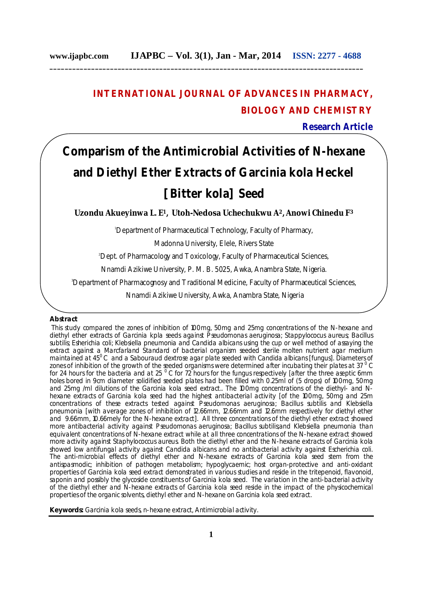# **INTERNATIONAL JOURNAL OF ADVANCES IN PHARMACY, BIOLOGY AND CHEMISTRY**

**Research Article**

# **Comparism of the Antimicrobial Activities of N-hexane and Diethyl Ether Extracts of** *Garcinia kola* **Heckel [***Bitter kola***] Seed**

**Uzondu Akueyinwa L. E1, Utoh-Nedosa Uchechukwu A2, Anowi Chinedu F<sup>3</sup>**

<sup>1</sup>Department of Pharmaceutical Technology, Faculty of Pharmacy,

Madonna University, Elele, Rivers State

<sup>2</sup> Dept. of Pharmacology and Toxicology, Faculty of Pharmaceutical Sciences,

Nnamdi Azikiwe University, P. M. B. 5025, Awka, Anambra State, Nigeria.

<sup>3</sup>Department of Pharmacognosy and Traditional Medicine, Faculty of Pharmaceutical Sciences,

Nnamdi Azikiwe University, Awka, Anambra State, Nigeria

# **Abstract**

This study compared the zones of inhibition of 100mg, 50mg and 25mg concentrations of the N-hexane and diethyl ether extracts of *Garcinia kpla* seeds against *Pseudomonas aeruginosa; Stappylococus aureus; Bacillus subtilis; Esherichia coli; Klebsiella pneumonia* and *Candida albicans* using the cup or well method of assaying the extract against a Marcfarland Standard of bacterial organism seeded sterile molten nutrient agar medium maintained at 45<sup>0</sup>C and a Sabouraud dextrose agar plate seeded with *Candida albicans* [fungus]. Diameters of zones of inhibition of the growth of the seeded organisms were determined after incubating their plates at 37 $^{0}$ C for 24 hours for the bacteria and at 25  $^{\circ}$  C for 72 hours for the fungus respectively [after the three aseptic 6mm holes bored in 9cm diameter solidified seeded plates had been filled with 0.25ml of (5 drops) of 100mg, 50mg and 25mg /ml dilutions of the *Garcinia kola* seed extract.. The 100mg concentrations of the diethyl- and Nhexane extracts of *Garcinia kola* seed had the highest antibacterial activity [of the 100mg, 50mg and 25m concentrations of these extracts tested against *Pseudomonas aeruginosa; Bacillus subtilis* and *Klebsiella pneumonia* [with average zones of inhibition of 12.66mm, 12.66mm and 12.6mm respectively for diethyl ether and 9.66mm, 10.66mely for the N-hexane extract]. All three concentrations of the diethyl ether extract showed more antibacterial activity against *Pseudomonas aeruginosa; Bacillus subtilis;*and *Klebsiella pneumonia* than equivalent concentrations of N-hexane extract while at all three concentrations of the N-hexane extract showed more activity against *Staphy*lococcus *aureus*. Both the diethyl ether and the N-hexane extracts of *Garcinia kola* showed low antifungal activity against *Candida albicans* and no antibacterial activity against *Escherichia coli*. The anti-microbial effects of diethyl ether and N-hexane extracts of *Garcinia kola* seed stem from the antispasmodic; inhibition of pathogen metabolism; hypoglycaemic; host organ-protective and anti-oxidant properties of *Garcinia kola* seed extract demonstrated in various studies and reside in the tritepenoid, flavonoid, saponin and possibly the glycoside constituents of *Garcinia kola* seed. The variation in the anti-bacterial activity of the diethyl ether and N-hexane extracts of *Garcinia kola* seed reside in the impact of the physicochemical properties of the organic solvents, diethyl ether and N-hexane on *Garcinia kola* seed extract.

**Keywords:** Garcinia kola seeds, n-hexane extract, Antimicrobial activity.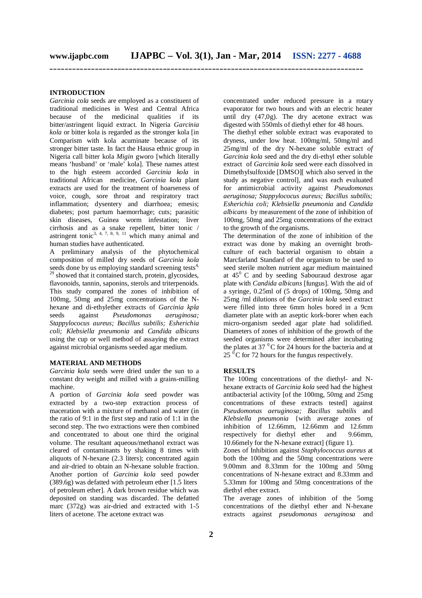# **INTRODUCTION**

*Garcinia cola* seeds are employed as a constituent of traditional medicines in West and Central Africa because of the medicinal qualities if its bitter/astringent liquid extract. In Nigeria *Garcinia kola* or bitter kola is regarded as the stronger kola [in Comparism with kola acuminate because of its stronger bitter taste. In fact the Hausa ethnic group in Nigeria call bitter kola *Migin* gworo [which literally means 'husband' or 'male' kola]. These names attest to the high esteem accorded *Garcinia kola* in traditional African medicine, *Garcinia kola* plant extracts are used for the treatment of hoarseness of voice, cough, sore throat and respiratory tract inflammation; dysentery and diarrhoea; emesis; diabetes; post partum haemorrhage; cuts; parasitic skin diseases, Guinea worm infestation; liver cirrhosis and as a snake repellent, bitter tonic / astringent tonic<sup>3, 4, 7, 8, 9, 11</sup> which many animal and human studies have authenticated.

A preliminary analysis of the phytochemical composition of milled dry seeds of *Garcinia kola*  seeds done by us employing standard screening tests<sup>4,</sup> <sup>29</sup> showed that it contained starch, protein, glycosides, flavonoids, tannin, saponins, sterols and triterpenoids. This study compared the zones of inhibition of 100mg, 50mg and 25mg concentrations of the Nhexane and di-ethylether extracts of *Garcinia kpla*  seeds against *Pseudomonas aeruginosa; Stappylococus aureus; Bacillus subtilis; Esherichia coli; Klebsiella pneumonia* and *Candida albicans*  using the cup or well method of assaying the extract against microbial organisms seeded agar medium.

#### **MATERIAL AND METHODS**

*Garcinia kola* seeds were dried under the sun to a constant dry weight and milled with a grains-milling machine.

A portion of *Garcinia kola* seed powder was extracted by a two-step extraction process of maceration with a mixture of methanol and water (in the ratio of 9:1 in the first step and ratio of 1:1 in the second step. The two extractions were then combined and concentrated to about one third the original volume. The resultant aqueous/methanol extract was cleared of contaminants by shaking 8 times with aliquots of N-hexane (2.3 liters); concentrated again and air-dried to obtain an N-hexane soluble fraction. Another portion of *Garcinia kola* seed powder (389.6g) was defatted with petroleum ether [1.5 liters of petroleum ether]. A dark brown residue which was deposited on standing was discarded. The defatted marc (372g) was air-dried and extracted with 1-5 liters of acetone. The acetone extract was

concentrated under reduced pressure in a rotary evaporator for two hours and with an electric heater until dry (47,0g). The dry acetone extract was digested with 550mls of diethyl ether for 48 hours.

The diethyl ether soluble extract was evaporated to dryness, under low heat. 100mg/ml, 50mg/ml and 25mg/ml of the dry N-hexane soluble extract *of Garcinia kola* seed and the dry di-ethyl ether soluble extract of *Garcinia kola* seed were each dissolved in Dimethylsulfoxide [DMSO][ which also served in the study as negative control], and was each evaluated for antimicrobial activity against *Pseudomonas aeruginosa; Stappylococus aureus; Bacillus subtilis; Esherichia coli; Klebsiella pneumonia* and *Candida albicans* by measurement of the zone of inhibition of 100mg, 50mg and 25mg concentrations of the extract to the growth of the organisms.

The determination of the zone of inhibition of the extract was done by making an overnight brothculture of each bacterial organism to obtain a Marcfarland Standard of the organism to be used to seed sterile molten nutrient agar medium maintained at  $45^{\circ}$  C and by seeding Sabouraud dextrose agar plate with *Candida albicans* [fungus]. With the aid of a syringe, 0.25ml of (5 drops) of 100mg, 50mg and 25mg /ml dilutions of the *Garcinia kola* seed extract were filled into three 6mm holes bored in a 9cm diameter plate with an aseptic kork-borer when each micro-organism seeded agar plate had solidified. Diameters of zones of inhibition of the growth of the seeded organisms were determined after incubating the plates at  $37<sup>0</sup>C$  for 24 hours for the bacteria and at 25  $\rm{^{6}C}$  for 72 hours for the fungus respectively.

# **RESULTS**

The 100mg concentrations of the diethyl- and Nhexane extracts of *Garcinia kola* seed had the highest antibacterial activity [of the 100mg, 50mg and 25mg concentrations of these extracts tested] against *Pseudomonas aeruginosa; Bacillus subtilis* and *Klebsiella pneumonia* {with average zones of inhibition of 12.66mm, 12.66mm and 12.6mm respectively for diethyl ether and 9.66mm, 10.66mely for the N-hexane extract] (figure 1).

Zones of Inhibition against *Staphylococcus aureus* at both the 100mg and the 50mg concentrations were 9.00mm and 8.33mm for the 100mg and 50mg concentrations of N-hexane extract and 8.33mm and 5.33mm for 100mg and 50mg concentrations of the diethyl ether extract.

The average zones of inhibition of the 5omg concentrations of the diethyl ether and N-hexane extracts against *pseudomonas aeruginosa* and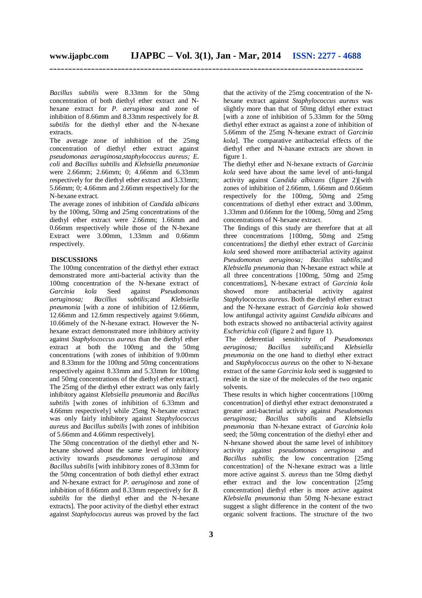*Bacillus subtilis* were 8.33mm for the 50mg concentration of both diethyl ether extract and Nhexane extract for *P. aeruginosa* and zone of inhibition of 8.66mm and 8.33mm respectively for *B. subtilis* for the diethyl ether and the N-hexane extracts.

The average zone of inhibition of the 25mg concentration of diethyl ether extract against *pseudomonas aeruginosa,staphylococcus aureus; E. coli* and *Bacillus subtilis* and *Klebsiella pneumoniae*  were 2.66mm; 2.66mm; 0; 4.66mm and 6.33mm respectively for the diethyl ether extract and 3.33mm; 5.66mm; 0; 4.66mm and 2.66mm respectively for the N-hexane extract.

The average zones of inhibition of *Candida albicans* by the 100mg, 50mg and 25mg concentrations of the diethyl ether extract were 2.66mm; 1.66mm and 0.66mm respectively while those of the N-hexane Extract were 3.00mm, 1.33mm and 0.66mm respectively.

# **DISCUSSIONS**

The 100mg concentration of the diethyl ether extract demonstrated more anti-bacterial activity than the 100mg concentration of the N-hexane extract of *Garcinia kola* Seed against *Pseudomonas aeruginosa; Bacillus subtilis;*and *Klebsiella pneumonia* [with a zone of inhibition of 12.66mm, 12.66mm and 12.6mm respectively against 9.66mm, 10.66mely of the N-hexane extract. However the Nhexane extract demonstrated more inhibitory activity against *Staphylococcus aureus* than the diethyl ether extract at both the 100mg and the 50mg concentrations {with zones of inhibition of 9.00mm and 8.33mm for the 100mg and 50mg concentrations respectively against 8.33mm and 5.33mm for 100mg and 50mg concentrations of the diethyl ether extract]. The 25mg of the diethyl ether extract was only fairly inhibitory against *Klebsiella pneumonia* and *Bacillus subtilis* [with zones of inhibition of 6.33mm and 4.66mm respectively] while 25mg N-hexane extract was only fairly inhibitory against *Staphylococcus aureus* and *Bacillus subtilis* [with zones of inhibition of 5.66mm and 4.66mm respectively]*.*

The 50mg concentration of the diethyl ether and Nhexane showed about the same level of inhibitory activity towards *pseudomonas aeruginosa* and *Bacillus subtilis* [with inhibitory zones of 8.33mm for the 50mg concentration of both diethyl ether extract and N-hexane extract for *P. aeruginosa* and zone of inhibition of 8.66mm and 8.33mm respectively for *B. subtilis* for the diethyl ether and the N-hexane extracts]. The poor activity of the diethyl ether extract against *Staphylococus* aureus was proved by the fact

that the activity of the 25mg concentration of the Nhexane extract against *Staphylococcus aureus* was slightly more than that of 50mg dithyl ether extract [with a zone of inhibition of 5.33mm for the 50mg diethyl ether extract as against a zone of inhibition of 5.66mm of the 25mg N-hexane extract of *Garcinia kola*]. The comparative antibacterial effects of the diethyl ether and N-haxane extracts are shown in figure 1.

The diethyl ether and N-hexane extracts of *Garcinia kola* seed have about the same level of anti-fungal activity against *Candida albicans* (figure 2)[with zones of inhibition of 2.66mm, 1.66mm and 0.66mm respectively for the 100mg, 50mg and 25mg concentrations of diethyl ether extract and 3.00mm, 1.33mm and 0.66mm for the 100mg, 50mg and 25mg concentrations of N-hexane extract.

The findings of this study are therefore that at all three concentrations [100mg, 50mg and 25mg concentrations] the diethyl ether extract of *Garcinia kola* seed showed more antibacterial activity against *Pseudomonas aeruginosa; Bacillus subtilis;*and *Klebsiella pneumonia* than N-hexane extract while at all three concentrations [100mg, 50mg and 25mg concentrations], N-hexane extract of *Garcinia kola* showed more antibacterial activity against *Staphy*lococcus *aureus*. Both the diethyl ether extract and the N-hexane extract of *Garcinia kola* showed low antifungal activity against *Candida albicans* and both extracts showed no antibacterial activity against *Escherichia coli* (figure 2 and figure 1).

The deferential sensitivity of *Pseudomonas aeruginosa; Bacillus subtilis;*and *Klebsiella pneumonia* on the one hand to diethyl ether extract and *Staphylococcus aureus* on the other to N-hexane extract of the same *Garcinia kola* seed is suggested to reside in the size of the molecules of the two organic solvents.

These results in which higher concentrations [100mg concentration] of diethyl ether extract demonstrated a greater anti-bacterial activity against *Pseudomonas aeruginosa; Bacillus subtilis* and *Klebsiella pneumonia* than N-hexane extract of *Garcinia kola* seed; the 50mg concentration of the diethyl ether and N-hexane showed about the same level of inhibitory activity against *pseudomonas aeruginosa* and *Bacillus subtilis*; the low concentration [25mg concentration] of the N-hexane extract was a little more active against *S. aureus* than tne 50mg diethyl ether extract and the low concentration [25mg concentration] diethyl ether is more active against *Klebsiella pneumonia* than 50mg N-hexane extract suggest a slight difference in the content of the two organic solvent fractions. The structure of the two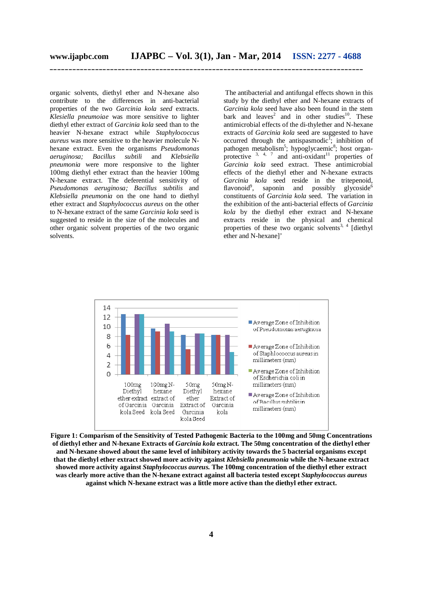organic solvents, diethyl ether and N-hexane also contribute to the differences in anti-bacterial properties of the two *Garcinia kola seed* extracts. *Klesiella pneumoiae* was more sensitive to lighter diethyl ether extract of *Garcinia kola* seed than to the heavier N-hexane extract while *Staphylococcus aureus* was more sensitive to the heavier molecule Nhexane extract. Even the organisms *Pseudomonas aeruginosa; Bacillus subtili* and *Klebsiella pneumonia* were more responsive to the lighter 100mg diethyl ether extract than the heavier 100mg N-hexane extract. The deferential sensitivity of *Pseudomonas aeruginosa; Bacillus subtilis* and *Klebsiella pneumonia* on the one hand to diethyl ether extract and *Staphylococcus aureus* on the other to N-hexane extract of the same *Garcinia kola* seed is suggested to reside in the size of the molecules and other organic solvent properties of the two organic solvents.

The antibacterial and antifungal effects shown in this study by the diethyl ether and N-hexane extracts of *Garcinia kola* seed have also been found in the stem bark and leaves<sup>2</sup> and in other studies<sup>10</sup>. These antimicrobial effects of the di-thylether and N-hexane extracts of *Garcinia kola* seed are suggested to have occurred through the antispasmodic<sup>1</sup>; inhibition of pathogen metabolism<sup>5</sup>; hypoglycaemic<sup>8</sup>; host organprotective  $3, 4, 7$  and anti-oxidant<sup>11</sup> properties of *Garcinia kola* seed extract. These antimicrobial effects of the diethyl ether and N-hexane extracts *Garcinia kola* seed reside in the tritepenoid, flavonoid<sup>9</sup>, saponin and possibly glycoside<sup>6</sup> constituents of *Garcinia kola* seed. The variation in the exhibition of the anti-bacterial effects of *Garcinia kola* by the diethyl ether extract and N-hexane extracts reside in the physical and chemical properties of these two organic solvents<sup>3, 4</sup> [diethyl] ether and N-hexane]'



**Figure 1: Comparism of the Sensitivity of Tested Pathogenic Bacteria to the 100mg and 50mg Concentrations of diethyl ether and N-hexane Extracts of** *Garcinia kola* **extract. The 50mg concentration of the diethyl ether and N-hexane showed about the same level of inhibitory activity towards the 5 bacterial organisms except that the diethyl ether extract showed more activity against** *Klebsiella pneumonia* **while the N-hexane extract showed more activity against** *Staphylococcus aureus.* **The 100mg concentration of the diethyl ether extract was clearly more active than the N-hexane extract against all bacteria tested except** *Staphylococcus aureus* **against which N-hexane extract was a little more active than the diethyl ether extract.**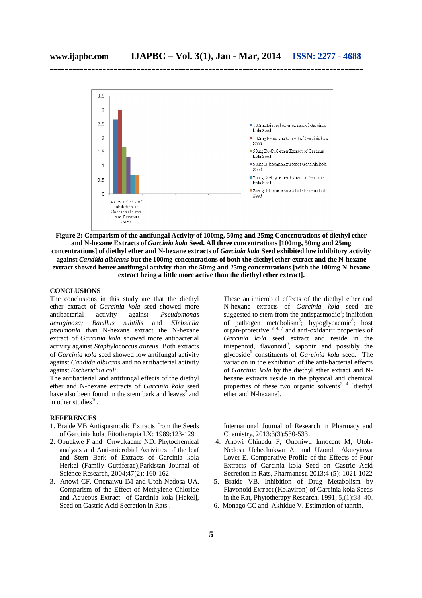

**Figure 2: Comparism of the antifungal Activit***y* **of 100mg, 50mg and 25mg Concentrations of diethyl ether and N-hexane Extracts of** *Garcinia kola* **Seed. All three concentrations [100mg, 50mg and 25mg concentrations] of diethyl ether and N-hexane extracts of** *Garcinia kola* **Seed exhibited low inhibitory activity against** *Candida albicans* **but the 100mg concentrations of both the diethyl ether extract and the N-hexane extract showed better antifungal activity than the 50mg and 25mg concentrations [with the 100mg N-hexane extract being a little more active than the diethyl ether extract].**

### **CONCLUSIONS**

The conclusions in this study are that the diethyl ether extract of *Garcinia kola* seed showed more antibacterial activity against *Pseudomonas aeruginosa; Bacillus subtilis* and *Klebsiella pneumonia* than N-hexane extract the N-hexane extract of *Garcinia kola* showed more antibacterial activity against *Staphy*lococcus *aureus*. Both extracts of *Garcinia kola* seed showed low antifungal activity against *Candida albicans* and no antibacterial activity against *Escherichia coli*.

The antibacterial and antifungal effects of the diethyl ether and N-hexane extracts of *Garcinia kola* seed have also been found in the stem bark and leaves<sup>2</sup> and in other studies $^{10}$ .

#### **REFERENCES**

- 1. Braide VB Antispasmodic Extracts from the Seeds of Garcinia kola, Fitotherapia LX: 1989:123-129
- 2. Obuekwe F and Onwukaeme ND. Phytochemical analysis and Anti-microbial Activities of the leaf and Stem Bark of Extracts of Garcinia kola Herkel (Family Guttiferae),Parkistan Journal of Science Research, 2004;47(2): 160-162.
- 3. Anowi CF, Ononaiwu IM and Utoh-Nedosa UA. Comparism of the Effect of Methylene Chloride and Aqueous Extract of Garcinia kola [Hekel], Seed on Gastric Acid Secretion in Rats .

These antimicrobial effects of the diethyl ether and N-hexane extracts of *Garcinia kola* seed are suggested to stem from the antispasmodic<sup>1</sup>; inhibition of pathogen metabolism<sup>5</sup>; hypoglycaemic<sup>8</sup>; host organ-protective  $3, 4, 7$  and anti-oxidant<sup>11</sup> properties of *Garcinia kola* seed extract and reside in the tritepenoid, flavonoid<sup>9</sup>, saponin and possibly the glycoside<sup>6</sup> constituents of *Garcinia kola* seed. The variation in the exhibition of the anti-bacterial effects of *Garcinia kola* by the diethyl ether extract and Nhexane extracts reside in the physical and chemical properties of these two organic solvents<sup>3, 4</sup> [diethyl] ether and N-hexane].

International Journal of Research in Pharmacy and Chemistry, 2013;3(3):530-533.

- 4. Anowi Chinedu F, Ononiwu Innocent M, Utoh-Nedosa Uchechukwu A. and Uzondu Akueyinwa Lovet E. Comparative Profile of the Effects of Four Extracts of Garcinia kola Seed on Gastric Acid Secretion in Rats, Pharmanest, 2013;4 (5): 1021-1022
- 5. Braide VB. Inhibition of Drug Metabolism by Flavonoid Extract (Kolaviron) of Garcinia kola Seeds in the Rat, Phytotherapy Research, 1991; 5,(1):38–40.
- 6. Monago CC and Akhidue V. Estimation of tannin,